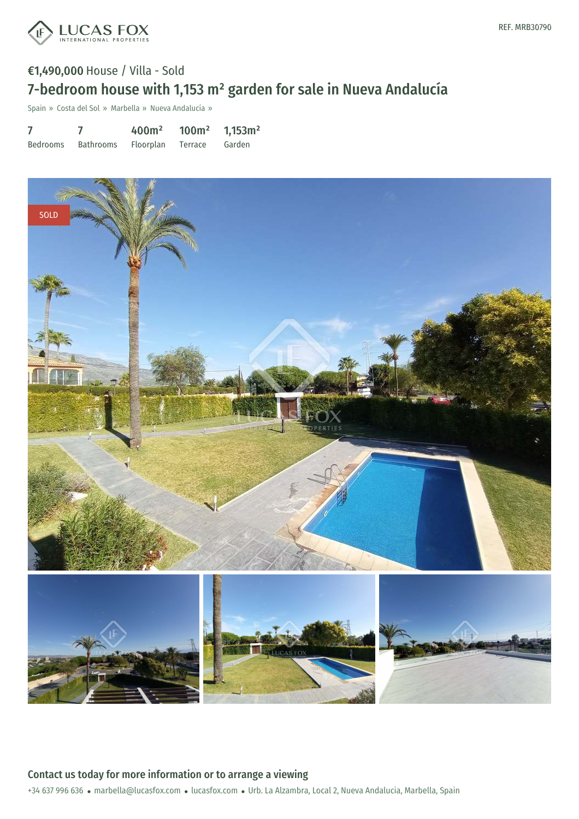

## €1,490,000 House / Villa - Sold 7-bedroom house with 1,153 m² garden for sale in Nueva Andalucía

Spain » Costa del Sol » Marbella » Nueva Andalucía »

| 7        |           | 400m <sup>2</sup> | 100m <sup>2</sup> | $1,153 \text{ m}^2$ |
|----------|-----------|-------------------|-------------------|---------------------|
| Bedrooms | Bathrooms | <b>Floorplan</b>  | Terrace           | Garden              |



+34 637 996 636 · marbella@lucasfox.com · lucasfox.com · Urb. La Alzambra, Local 2, Nueva Andalucia, Marbella, Spain Contact us today for more information or to arrange a viewing